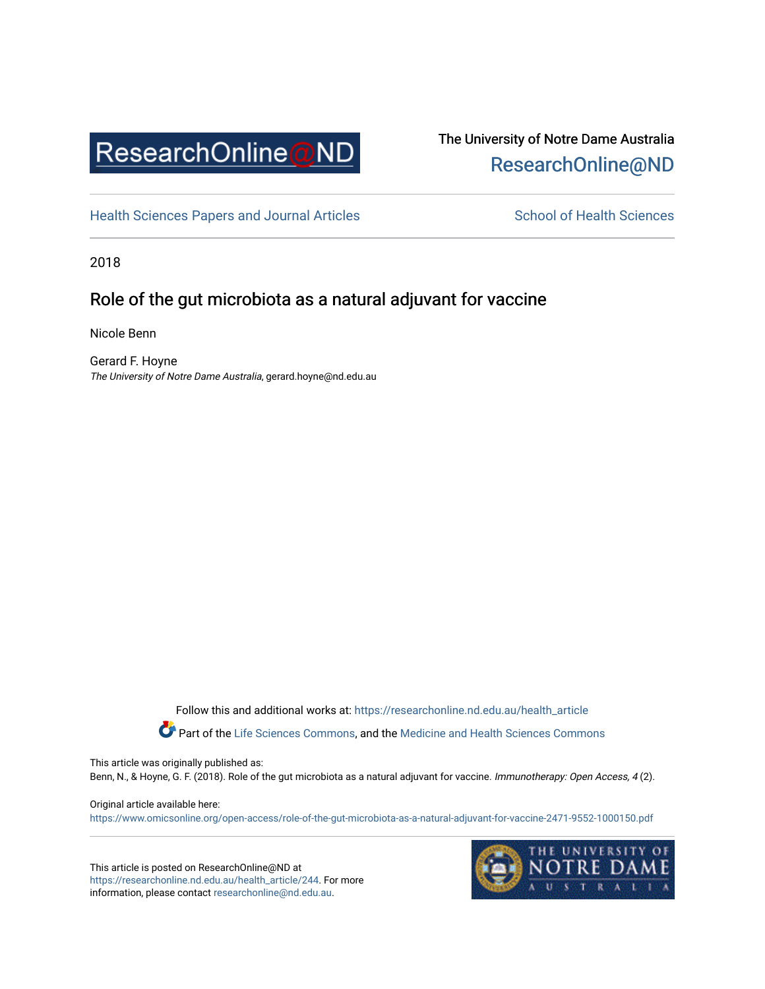

# The University of Notre Dame Australia [ResearchOnline@ND](https://researchonline.nd.edu.au/)

[Health Sciences Papers and Journal Articles](https://researchonline.nd.edu.au/health_article) School of Health Sciences

2018

# Role of the gut microbiota as a natural adjuvant for vaccine

Nicole Benn

Gerard F. Hoyne The University of Notre Dame Australia, gerard.hoyne@nd.edu.au

Follow this and additional works at: [https://researchonline.nd.edu.au/health\\_article](https://researchonline.nd.edu.au/health_article?utm_source=researchonline.nd.edu.au%2Fhealth_article%2F244&utm_medium=PDF&utm_campaign=PDFCoverPages)

Part of the [Life Sciences Commons](http://network.bepress.com/hgg/discipline/1016?utm_source=researchonline.nd.edu.au%2Fhealth_article%2F244&utm_medium=PDF&utm_campaign=PDFCoverPages), and the Medicine and Health Sciences Commons

This article was originally published as:

Benn, N., & Hoyne, G. F. (2018). Role of the gut microbiota as a natural adjuvant for vaccine. Immunotherapy: Open Access, 4 (2).

Original article available here:

<https://www.omicsonline.org/open-access/role-of-the-gut-microbiota-as-a-natural-adjuvant-for-vaccine-2471-9552-1000150.pdf>

This article is posted on ResearchOnline@ND at [https://researchonline.nd.edu.au/health\\_article/244](https://researchonline.nd.edu.au/health_article/244). For more information, please contact [researchonline@nd.edu.au.](mailto:researchonline@nd.edu.au)

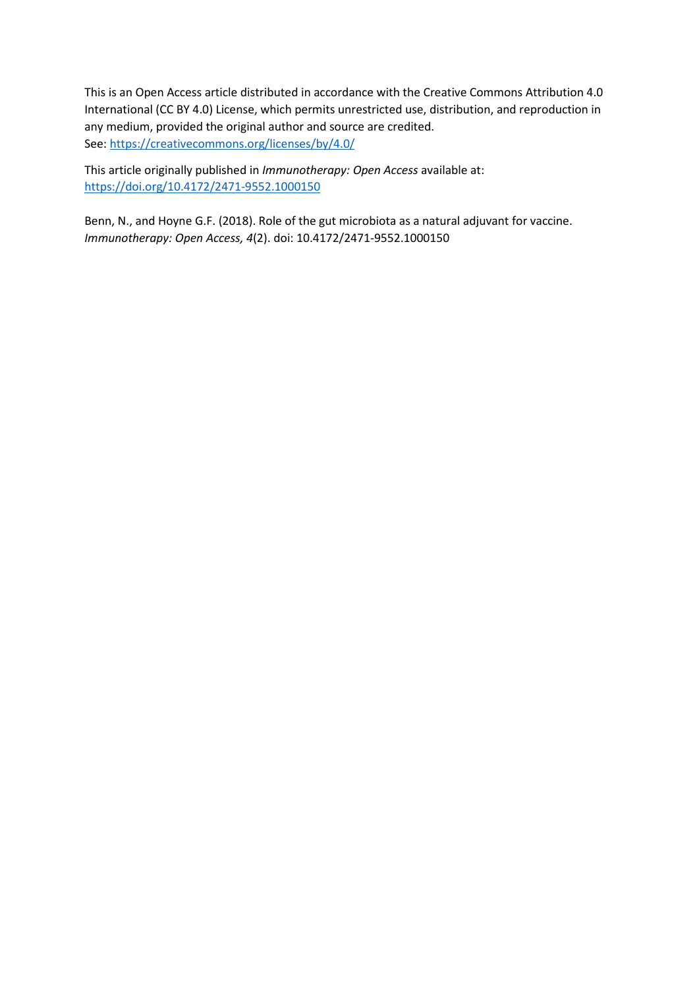This is an Open Access article distributed in accordance with the Creative Commons Attribution 4.0 International (CC BY 4.0) License, which permits unrestricted use, distribution, and reproduction in any medium, provided the original author and source are credited. See[: https://creativecommons.org/licenses/by/4.0/](https://creativecommons.org/licenses/by/4.0/)

This article originally published in *Immunotherapy: Open Access* available at: <https://doi.org/10.4172/2471-9552.1000150>

Benn, N., and Hoyne G.F. (2018). Role of the gut microbiota as a natural adjuvant for vaccine. *Immunotherapy: Open Access, 4*(2). doi: 10.4172/2471-9552.1000150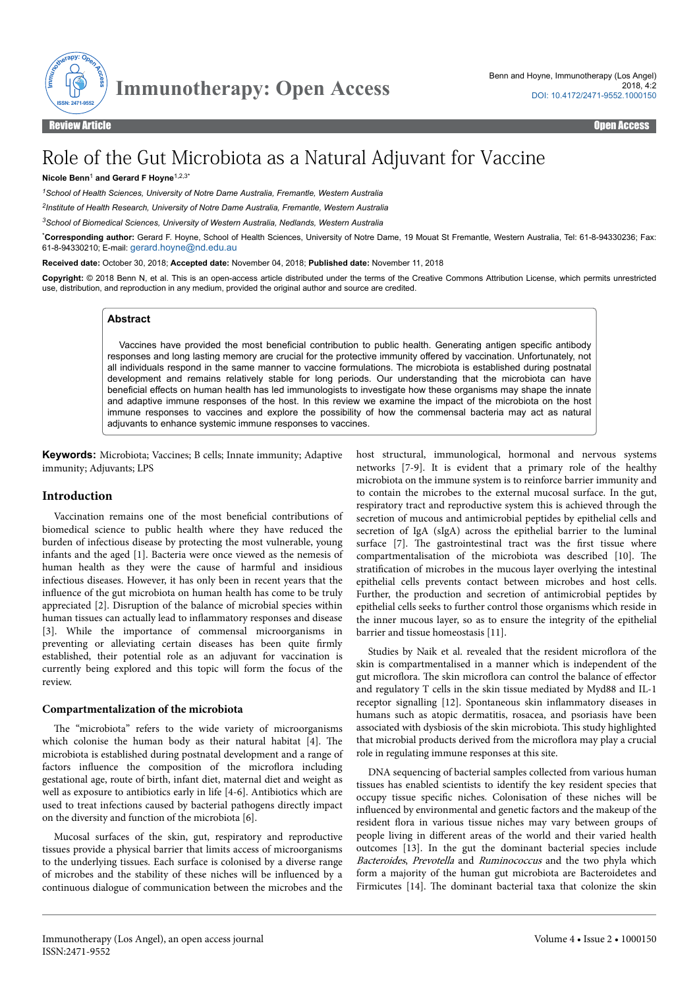

# Role of the Gut Microbiota as a Natural Adjuvant for Vaccine

#### **Nicole Benn**<sup>1</sup> **and Gerard F Hoyne**1,2,3\*

*<sup>1</sup>School of Health Sciences, University of Notre Dame Australia, Fremantle, Western Australia*

*2 Institute of Health Research, University of Notre Dame Australia, Fremantle, Western Australia*

*<sup>3</sup>School of Biomedical Sciences, University of Western Australia, Nedlands, Western Australia*

\***Corresponding author:** Gerard F. Hoyne, School of Health Sciences, University of Notre Dame, 19 Mouat St Fremantle, Western Australia, Tel: 61-8-94330236; Fax: 61-8-94330210; E-mail: [gerard.hoyne@nd.edu.au](mailto:gerard.hoyne@nd.edu.au)

**Received date:** October 30, 2018; **Accepted date:** November 04, 2018; **Published date:** November 11, 2018

**Copyright:** © 2018 Benn N, et al. This is an open-access article distributed under the terms of the Creative Commons Attribution License, which permits unrestricted use, distribution, and reproduction in any medium, provided the original author and source are credited.

## **Abstract**

Vaccines have provided the most beneficial contribution to public health. Generating antigen specific antibody responses and long lasting memory are crucial for the protective immunity offered by vaccination. Unfortunately, not all individuals respond in the same manner to vaccine formulations. The microbiota is established during postnatal development and remains relatively stable for long periods. Our understanding that the microbiota can have beneficial effects on human health has led immunologists to investigate how these organisms may shape the innate and adaptive immune responses of the host. In this review we examine the impact of the microbiota on the host immune responses to vaccines and explore the possibility of how the commensal bacteria may act as natural adjuvants to enhance systemic immune responses to vaccines.

**Keywords:** Microbiota; Vaccines; B cells; Innate immunity; Adaptive immunity; Adjuvants; LPS

#### **Introduction**

Vaccination remains one of the most beneficial contributions of biomedical science to public health where they have reduced the burden of infectious disease by protecting the most vulnerable, young infants and the aged [1]. Bacteria were once viewed as the nemesis of human health as they were the cause of harmful and insidious infectious diseases. However, it has only been in recent years that the influence of the gut microbiota on human health has come to be truly appreciated [2]. Disruption of the balance of microbial species within human tissues can actually lead to inflammatory responses and disease [3]. While the importance of commensal microorganisms in preventing or alleviating certain diseases has been quite firmly established, their potential role as an adjuvant for vaccination is currently being explored and this topic will form the focus of the review.

#### **Compartmentalization of the microbiota**

The "microbiota" refers to the wide variety of microorganisms which colonise the human body as their natural habitat [4]. Нe microbiota is established during postnatal development and a range of factors influence the composition of the microflora including gestational age, route of birth, infant diet, maternal diet and weight as well as exposure to antibiotics early in life [4-6]. Antibiotics which are used to treat infections caused by bacterial pathogens directly impact on the diversity and function of the microbiota [6].

Mucosal surfaces of the skin, gut, respiratory and reproductive tissues provide a physical barrier that limits access of microorganisms to the underlying tissues. Each surface is colonised by a diverse range of microbes and the stability of these niches will be influenced by a continuous dialogue of communication between the microbes and the

host structural, immunological, hormonal and nervous systems networks [7-9]. It is evident that a primary role of the healthy microbiota on the immune system is to reinforce barrier immunity and to contain the microbes to the external mucosal surface. In the gut, respiratory tract and reproductive system this is achieved through the secretion of mucous and antimicrobial peptides by epithelial cells and secretion of IgA (sIgA) across the epithelial barrier to the luminal surface [7]. The gastrointestinal tract was the first tissue where compartmentalisation of the microbiota was described [10]. Нe stratification of microbes in the mucous layer overlying the intestinal epithelial cells prevents contact between microbes and host cells. Further, the production and secretion of antimicrobial peptides by epithelial cells seeks to further control those organisms which reside in the inner mucous layer, so as to ensure the integrity of the epithelial barrier and tissue homeostasis [11].

Studies by Naik et al. revealed that the resident microflora of the skin is compartmentalised in a manner which is independent of the gut microflora. The skin microflora can control the balance of effector and regulatory T cells in the skin tissue mediated by Myd88 and IL-1 receptor signalling [12]. Spontaneous skin inflammatory diseases in humans such as atopic dermatitis, rosacea, and psoriasis have been associated with dysbiosis of the skin microbiota. Нis study highlighted that microbial products derived from the microflora may play a crucial role in regulating immune responses at this site.

DNA sequencing of bacterial samples collected from various human tissues has enabled scientists to identify the key resident species that occupy tissue specific niches. Colonisation of these niches will be influenced by environmental and genetic factors and the makeup of the resident flora in various tissue niches may vary between groups of people living in different areas of the world and their varied health outcomes [13]. In the gut the dominant bacterial species include Bacteroides, Prevotella and Ruminococcus and the two phyla which form a majority of the human gut microbiota are Bacteroidetes and Firmicutes [14]. Нe dominant bacterial taxa that colonize the skin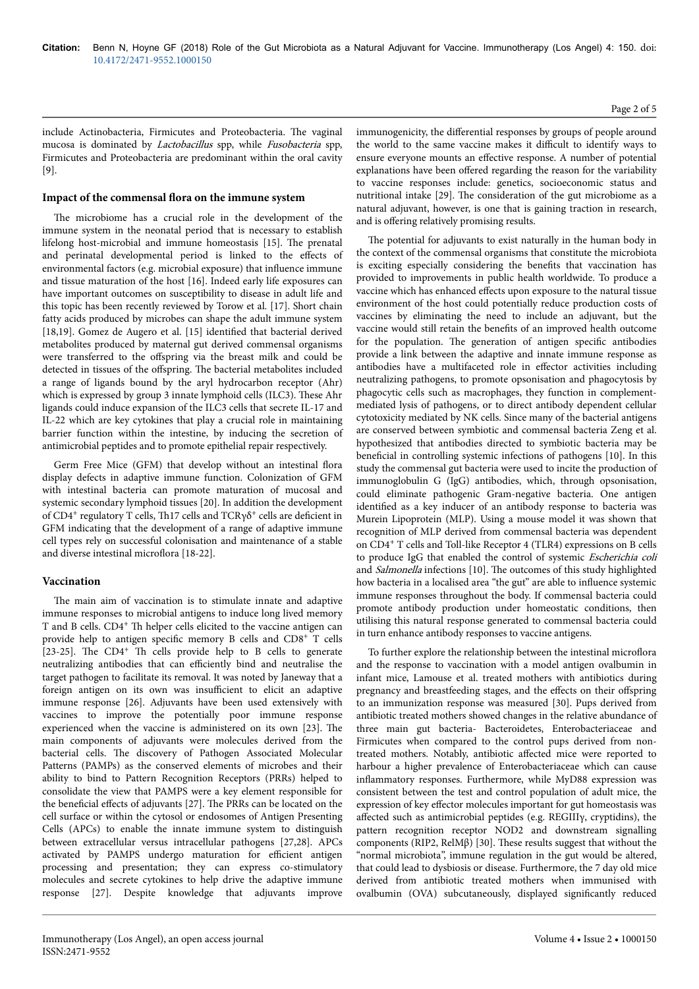include Actinobacteria, Firmicutes and Proteobacteria. Нe vaginal mucosa is dominated by Lactobacillus spp, while Fusobacteria spp, Firmicutes and Proteobacteria are predominant within the oral cavity [9].

#### Impact of the commensal flora on the immune system

The microbiome has a crucial role in the development of the immune system in the neonatal period that is necessary to establish lifelong host-microbial and immune homeostasis [15]. Нe prenatal and perinatal developmental period is linked to the effects of environmental factors (e.g. microbial exposure) that influence immune and tissue maturation of the host [16]. Indeed early life exposures can have important outcomes on susceptibility to disease in adult life and this topic has been recently reviewed by Torow et al. [17]. Short chain fatty acids produced by microbes can shape the adult immune system [18,19]. Gomez de Augero et al. [15] identified that bacterial derived metabolites produced by maternal gut derived commensal organisms were transferred to the offspring via the breast milk and could be detected in tissues of the offspring. The bacterial metabolites included a range of ligands bound by the aryl hydrocarbon receptor (Ahr) which is expressed by group 3 innate lymphoid cells (ILC3). Нese Ahr ligands could induce expansion of the ILC3 cells that secrete IL-17 and IL-22 which are key cytokines that play a crucial role in maintaining barrier function within the intestine, by inducing the secretion of antimicrobial peptides and to promote epithelial repair respectively.

Germ Free Mice (GFM) that develop without an intestinal flora display defects in adaptive immune function. Colonization of GFM with intestinal bacteria can promote maturation of mucosal and systemic secondary lymphoid tissues [20]. In addition the development of CD4<sup>+</sup> regulatory T cells, Th17 cells and TCRγδ<sup>+</sup> cells are deficient in GFM indicating that the development of a range of adaptive immune cell types rely on successful colonisation and maintenance of a stable and diverse intestinal microflora [18-22].

#### **Vaccination**

The main aim of vaccination is to stimulate innate and adaptive immune responses to microbial antigens to induce long lived memory T and B cells. CD4<sup>+</sup> Th helper cells elicited to the vaccine antigen can provide help to antigen specific memory B cells and CD8<sup>+</sup> T cells [23-25]. The CD4<sup>+</sup> Th cells provide help to B cells to generate neutralizing antibodies that can efficiently bind and neutralise the target pathogen to facilitate its removal. It was noted by Janeway that a foreign antigen on its own was insufficient to elicit an adaptive immune response [26]. Adjuvants have been used extensively with vaccines to improve the potentially poor immune response experienced when the vaccine is administered on its own [23]. Нe main components of adjuvants were molecules derived from the bacterial cells. Нe discovery of Pathogen Associated Molecular Patterns (PAMPs) as the conserved elements of microbes and their ability to bind to Pattern Recognition Receptors (PRRs) helped to consolidate the view that PAMPS were a key element responsible for the beneficial effects of adjuvants [27]. The PRRs can be located on the cell surface or within the cytosol or endosomes of Antigen Presenting Cells (APCs) to enable the innate immune system to distinguish between extracellular versus intracellular pathogens [27,28]. APCs activated by PAMPS undergo maturation for efficient antigen processing and presentation; they can express co-stimulatory molecules and secrete cytokines to help drive the adaptive immune response [27]. Despite knowledge that adjuvants improve

immunogenicity, the differential responses by groups of people around the world to the same vaccine makes it difficult to identify ways to ensure everyone mounts an effective response. A number of potential explanations have been offered regarding the reason for the variability to vaccine responses include: genetics, socioeconomic status and nutritional intake [29]. Нe consideration of the gut microbiome as a natural adjuvant, however, is one that is gaining traction in research, and is offering relatively promising results.

The potential for adjuvants to exist naturally in the human body in the context of the commensal organisms that constitute the microbiota is exciting especially considering the benefits that vaccination has provided to improvements in public health worldwide. To produce a vaccine which has enhanced effects upon exposure to the natural tissue environment of the host could potentially reduce production costs of vaccines by eliminating the need to include an adjuvant, but the vaccine would still retain the benefits of an improved health outcome for the population. Нe generation of antigen specific antibodies provide a link between the adaptive and innate immune response as antibodies have a multifaceted role in effector activities including neutralizing pathogens, to promote opsonisation and phagocytosis by phagocytic cells such as macrophages, they function in complementmediated lysis of pathogens, or to direct antibody dependent cellular cytotoxicity mediated by NK cells. Since many of the bacterial antigens are conserved between symbiotic and commensal bacteria Zeng et al. hypothesized that antibodies directed to symbiotic bacteria may be beneficial in controlling systemic infections of pathogens [10]. In this study the commensal gut bacteria were used to incite the production of immunoglobulin G (IgG) antibodies, which, through opsonisation, could eliminate pathogenic Gram-negative bacteria. One antigen identified as a key inducer of an antibody response to bacteria was Murein Lipoprotein (MLP). Using a mouse model it was shown that recognition of MLP derived from commensal bacteria was dependent on CD4<sup>+</sup> T cells and Toll-like Receptor 4 (TLR4) expressions on B cells to produce IgG that enabled the control of systemic Escherichia coli and Salmonella infections [10]. The outcomes of this study highlighted how bacteria in a localised area "the gut" are able to influence systemic immune responses throughout the body. If commensal bacteria could promote antibody production under homeostatic conditions, then utilising this natural response generated to commensal bacteria could in turn enhance antibody responses to vaccine antigens.

To further explore the relationship between the intestinal microflora and the response to vaccination with a model antigen ovalbumin in infant mice, Lamouse et al. treated mothers with antibiotics during pregnancy and breastfeeding stages, and the effects on their offspring to an immunization response was measured [30]. Pups derived from antibiotic treated mothers showed changes in the relative abundance of three main gut bacteria- Bacteroidetes, Enterobacteriaceae and Firmicutes when compared to the control pups derived from nontreated mothers. Notably, antibiotic affected mice were reported to harbour a higher prevalence of Enterobacteriaceae which can cause inflammatory responses. Furthermore, while MyD88 expression was consistent between the test and control population of adult mice, the expression of key effector molecules important for gut homeostasis was affected such as antimicrobial peptides (e.g. REGIII $\gamma$ , cryptidins), the pattern recognition receptor NOD2 and downstream signalling components (RIP2, RelMβ) [30]. Нese results suggest that without the "normal microbiota", immune regulation in the gut would be altered, that could lead to dysbiosis or disease. Furthermore, the 7 day old mice derived from antibiotic treated mothers when immunised with ovalbumin (OVA) subcutaneously, displayed significantly reduced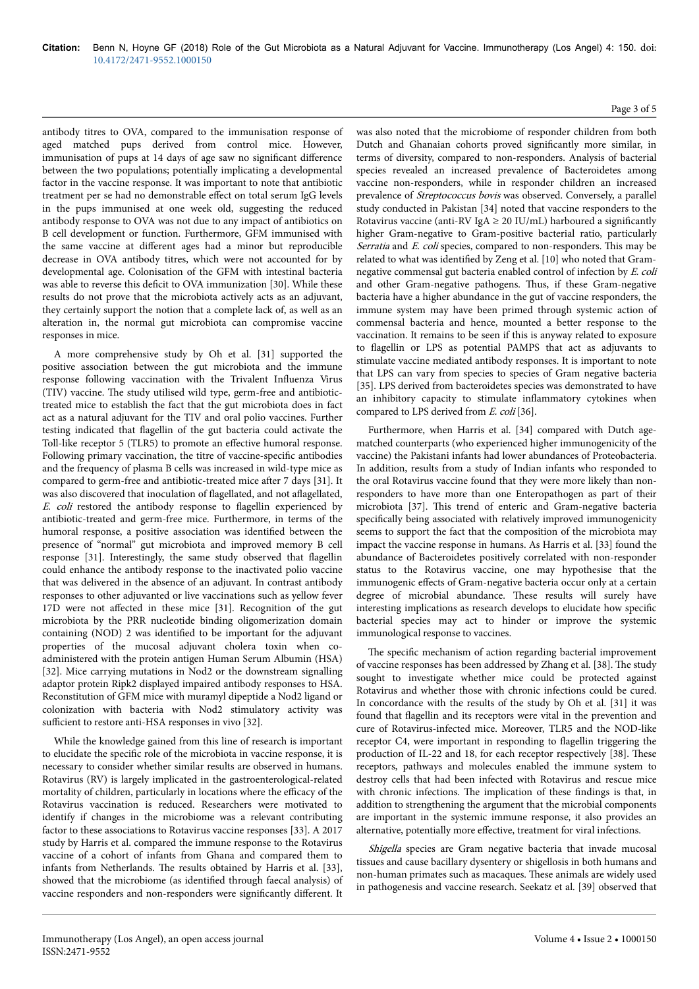antibody titres to OVA, compared to the immunisation response of aged matched pups derived from control mice. However, immunisation of pups at 14 days of age saw no significant difference between the two populations; potentially implicating a developmental factor in the vaccine response. It was important to note that antibiotic treatment per se had no demonstrable effect on total serum IgG levels in the pups immunised at one week old, suggesting the reduced antibody response to OVA was not due to any impact of antibiotics on B cell development or function. Furthermore, GFM immunised with the same vaccine at different ages had a minor but reproducible decrease in OVA antibody titres, which were not accounted for by developmental age. Colonisation of the GFM with intestinal bacteria was able to reverse this deficit to OVA immunization [30]. While these results do not prove that the microbiota actively acts as an adjuvant, they certainly support the notion that a complete lack of, as well as an alteration in, the normal gut microbiota can compromise vaccine responses in mice.

A more comprehensive study by Oh et al. [31] supported the positive association between the gut microbiota and the immune response following vaccination with the Trivalent Influenza Virus (TIV) vaccine. Нe study utilised wild type, germ-free and antibiotictreated mice to establish the fact that the gut microbiota does in fact act as a natural adjuvant for the TIV and oral polio vaccines. Further testing indicated that flagellin of the gut bacteria could activate the Toll-like receptor 5 (TLR5) to promote an effective humoral response. Following primary vaccination, the titre of vaccine-specific antibodies and the frequency of plasma B cells was increased in wild-type mice as compared to germ-free and antibiotic-treated mice after 7 days [31]. It was also discovered that inoculation of flagellated, and not aflagellated, E. coli restored the antibody response to flagellin experienced by antibiotic-treated and germ-free mice. Furthermore, in terms of the humoral response, a positive association was identified between the presence of "normal" gut microbiota and improved memory B cell response [31]. Interestingly, the same study observed that flagellin could enhance the antibody response to the inactivated polio vaccine that was delivered in the absence of an adjuvant. In contrast antibody responses to other adjuvanted or live vaccinations such as yellow fever 17D were not affected in these mice [31]. Recognition of the gut microbiota by the PRR nucleotide binding oligomerization domain containing (NOD) 2 was identified to be important for the adjuvant properties of the mucosal adjuvant cholera toxin when coadministered with the protein antigen Human Serum Albumin (HSA) [32]. Mice carrying mutations in Nod2 or the downstream signalling adaptor protein Ripk2 displayed impaired antibody responses to HSA. Reconstitution of GFM mice with muramyl dipeptide a Nod2 ligand or colonization with bacteria with Nod2 stimulatory activity was sufficient to restore anti-HSA responses in vivo [32].

While the knowledge gained from this line of research is important to elucidate the specific role of the microbiota in vaccine response, it is necessary to consider whether similar results are observed in humans. Rotavirus (RV) is largely implicated in the gastroenterological-related mortality of children, particularly in locations where the efficacy of the Rotavirus vaccination is reduced. Researchers were motivated to identify if changes in the microbiome was a relevant contributing factor to these associations to Rotavirus vaccine responses [33]. A 2017 study by Harris et al. compared the immune response to the Rotavirus vaccine of a cohort of infants from Ghana and compared them to infants from Netherlands. Нe results obtained by Harris et al. [33], showed that the microbiome (as identified through faecal analysis) of vaccine responders and non-responders were significantly different. It

was also noted that the microbiome of responder children from both Dutch and Ghanaian cohorts proved significantly more similar, in terms of diversity, compared to non-responders. Analysis of bacterial species revealed an increased prevalence of Bacteroidetes among vaccine non-responders, while in responder children an increased prevalence of Streptococcus bovis was observed. Conversely, a parallel study conducted in Pakistan [34] noted that vaccine responders to the Rotavirus vaccine (anti-RV IgA  $\geq$  20 IU/mL) harboured a significantly higher Gram-negative to Gram-positive bacterial ratio, particularly Serratia and E. coli species, compared to non-responders. This may be related to what was identified by Zeng et al. [10] who noted that Gramnegative commensal gut bacteria enabled control of infection by E. coli and other Gram-negative pathogens. Нus, if these Gram-negative bacteria have a higher abundance in the gut of vaccine responders, the immune system may have been primed through systemic action of commensal bacteria and hence, mounted a better response to the vaccination. It remains to be seen if this is anyway related to exposure to flagellin or LPS as potential PAMPS that act as adjuvants to stimulate vaccine mediated antibody responses. It is important to note that LPS can vary from species to species of Gram negative bacteria [35]. LPS derived from bacteroidetes species was demonstrated to have an inhibitory capacity to stimulate inflammatory cytokines when compared to LPS derived from E. coli [36].

Furthermore, when Harris et al. [34] compared with Dutch agematched counterparts (who experienced higher immunogenicity of the vaccine) the Pakistani infants had lower abundances of Proteobacteria. In addition, results from a study of Indian infants who responded to the oral Rotavirus vaccine found that they were more likely than nonresponders to have more than one Enteropathogen as part of their microbiota [37]. Нis trend of enteric and Gram-negative bacteria specifically being associated with relatively improved immunogenicity seems to support the fact that the composition of the microbiota may impact the vaccine response in humans. As Harris et al. [33] found the abundance of Bacteroidetes positively correlated with non-responder status to the Rotavirus vaccine, one may hypothesise that the immunogenic effects of Gram-negative bacteria occur only at a certain degree of microbial abundance. Нese results will surely have interesting implications as research develops to elucidate how specific bacterial species may act to hinder or improve the systemic immunological response to vaccines.

The specific mechanism of action regarding bacterial improvement of vaccine responses has been addressed by Zhang et al. [38]. Нe study sought to investigate whether mice could be protected against Rotavirus and whether those with chronic infections could be cured. In concordance with the results of the study by Oh et al. [31] it was found that flagellin and its receptors were vital in the prevention and cure of Rotavirus-infected mice. Moreover, TLR5 and the NOD-like receptor C4, were important in responding to flagellin triggering the production of IL-22 and 18, for each receptor respectively [38]. Нese receptors, pathways and molecules enabled the immune system to destroy cells that had been infected with Rotavirus and rescue mice with chronic infections. Нe implication of these findings is that, in addition to strengthening the argument that the microbial components are important in the systemic immune response, it also provides an alternative, potentially more effective, treatment for viral infections.

Shigella species are Gram negative bacteria that invade mucosal tissues and cause bacillary dysentery or shigellosis in both humans and non-human primates such as macaques. Нese animals are widely used in pathogenesis and vaccine research. Seekatz et al. [39] observed that

#### Page 3 of 5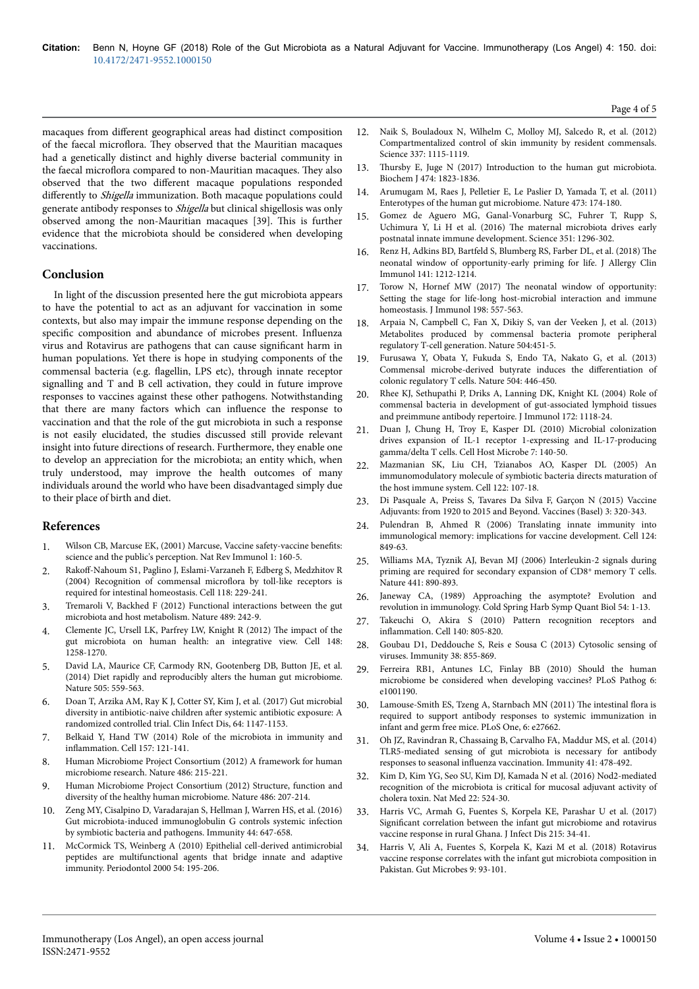macaques from different geographical areas had distinct composition of the faecal microflora. Нey observed that the Mauritian macaques had a genetically distinct and highly diverse bacterial community in the faecal microflora compared to non-Mauritian macaques. Нey also observed that the two different macaque populations responded differently to Shigella immunization. Both macaque populations could generate antibody responses to Shigella but clinical shigellosis was only observed among the non-Mauritian macaques [39]. Нis is further evidence that the microbiota should be considered when developing vaccinations.

### **Conclusion**

In light of the discussion presented here the gut microbiota appears to have the potential to act as an adjuvant for vaccination in some contexts, but also may impair the immune response depending on the specific composition and abundance of microbes present. Influenza virus and Rotavirus are pathogens that can cause significant harm in human populations. Yet there is hope in studying components of the commensal bacteria (e.g. flagellin, LPS etc), through innate receptor signalling and T and B cell activation, they could in future improve responses to vaccines against these other pathogens. Notwithstanding that there are many factors which can influence the response to vaccination and that the role of the gut microbiota in such a response is not easily elucidated, the studies discussed still provide relevant insight into future directions of research. Furthermore, they enable one to develop an appreciation for the microbiota; an entity which, when truly understood, may improve the health outcomes of many individuals around the world who have been disadvantaged simply due to their place of birth and diet.

## **References**

- [Wilson CB, Marcuse EK, \(2001\) Marcuse, Vaccine safety-vaccine](https://doi.org/10.1038/35100585) benefits: [science and the public's perception. Nat Rev Immunol 1: 160-5.](https://doi.org/10.1038/35100585)
- 2. Rakoff-Nahoum [S1, Paglino J, Eslami-Varzaneh F, Edberg S, Medzhitov R](http://dx.doi.org/10.1016/j.cell.2004.07.002) [\(2004\) Recognition of commensal](http://dx.doi.org/10.1016/j.cell.2004.07.002) microflora by toll-like receptors is [required for intestinal homeostasis. Cell 118: 229-241.](http://dx.doi.org/10.1016/j.cell.2004.07.002)
- 3. [Tremaroli V, Backhed F \(2012\) Functional interactions between the gut](https://doi.org/10.1038/nature11552) [microbiota and host metabolism. Nature 489: 242-9.](https://doi.org/10.1038/nature11552)
- 4. [Clemente JC, Ursell LK, Parfrey LW, Knight R \(2012\)](https://doi.org/10.1016/j.cell.2012.01.035) Нe impact of the [gut microbiota on human health: an integrative view. Cell 148:](https://doi.org/10.1016/j.cell.2012.01.035) [1258-1270.](https://doi.org/10.1016/j.cell.2012.01.035)
- 5. [David LA, Maurice CF, Carmody RN, Gootenberg DB, Button JE, et al.](https://doi.org/10.1038/nature12820) [\(2014\) Diet rapidly and reproducibly alters the human gut microbiome.](https://doi.org/10.1038/nature12820) [Nature 505: 559-563.](https://doi.org/10.1038/nature12820)
- 6. [Doan T, Arzika AM, Ray K J, Cotter SY, Kim J, et al. \(2017\) Gut microbial](https://doi.org/10.1093/cid/cix141) [diversity in antibiotic-naive children](https://doi.org/10.1093/cid/cix141) after systemic antibiotic exposure: A [randomized controlled trial. Clin Infect Dis, 64: 1147-1153.](https://doi.org/10.1093/cid/cix141)
- 7. [Belkaid Y, Hand TW \(2014\) Role of the microbiota in immunity and](https://doi.org/10.1016/j.cell.2014.03.011) inflammation. [Cell 157: 121-141.](https://doi.org/10.1016/j.cell.2014.03.011)
- 8. [Human Microbiome Project Consortium \(2012\) A framework for human](https://doi.org/10.1038/nature11209) [microbiome research. Nature 486: 215-221.](https://doi.org/10.1038/nature11209)
- 9. [Human Microbiome Project Consortium \(2012\) Structure, function and](https://doi.org/10.1038/nature11209) [diversity of the healthy human microbiome. Nature 486: 207-214.](https://doi.org/10.1038/nature11209)
- [Zeng MY, Cisalpino D, Varadarajan S, Hellman J, Warren HS, et al. \(2016\)](https://doi.org/10.1016/j.immuni.2016.02.006) [Gut microbiota-induced immunoglobulin G controls systemic infection](https://doi.org/10.1016/j.immuni.2016.02.006) [by symbiotic bacteria and pathogens. Immunity 44: 647-658.](https://doi.org/10.1016/j.immuni.2016.02.006)
- 11. [McCormick TS, Weinberg A \(2010\) Epithelial cell-derived antimicrobial](https://doi.org/10.1111/j.1600-0757.2010.00373.x) [peptides are multifunctional agents that bridge innate and adaptive](https://doi.org/10.1111/j.1600-0757.2010.00373.x) [immunity. Periodontol 2000 54: 195-206.](https://doi.org/10.1111/j.1600-0757.2010.00373.x)
- 12. [Naik S, Bouladoux N, Wilhelm C, Molloy MJ, Salcedo R, et al. \(2012\)](https://doi.org/10.1126/science.1225152) [Compartmentalized control of skin immunity by resident commensals.](https://doi.org/10.1126/science.1225152) [Science 337: 1115-1119.](https://doi.org/10.1126/science.1225152)
- 13. Нursby [E, Juge N \(2017\) Introduction to the human gut microbiota.](https://dx.doi.org/10.1042%2FBCJ20160510) [Biochem J 474: 1823-1836.](https://dx.doi.org/10.1042%2FBCJ20160510)
- 14. [Arumugam M, Raes J, Pelletier E, Le Paslier D, Yamada T, et al. \(2011\)](https://www.nature.com/articles/nature09944) [Enterotypes of the human gut microbiome. Nature 473: 174-180.](https://www.nature.com/articles/nature09944)
- 15. [Gomez de Aguero MG, Ganal-Vonarburg SC, Fuhrer T, Rupp S,](https://doi.org/10.1126/science.aad2571) Uchimura Y, Li H et al. (2016) Нe [maternal microbiota drives early](https://doi.org/10.1126/science.aad2571) [postnatal innate immune development. Science 351: 1296-302.](https://doi.org/10.1126/science.aad2571)
- 16. [Renz H, Adkins BD, Bartfeld S, Blumberg RS, Farber DL, et al. \(2018\)](https://doi.org/10.1016/j.jaci.2017.11.019) Нe [neonatal window of opportunity-early priming for life. J Allergy Clin](https://doi.org/10.1016/j.jaci.2017.11.019) [Immunol 141: 1212-1214.](https://doi.org/10.1016/j.jaci.2017.11.019)
- 17. Torow N, Hornef MW (2017) Нe [neonatal window of opportunity:](https://doi.org/10.4049/jimmunol.1601253) [Setting the stage for life-long host-microbial interaction and immune](https://doi.org/10.4049/jimmunol.1601253) [homeostasis. J Immunol 198: 557-563.](https://doi.org/10.4049/jimmunol.1601253)
- 18. [Arpaia N, Campbell C, Fan X, Dikiy S, van der Veeken J, et al. \(2013\)](https://doi.org/10.1038/nature12726) [Metabolites produced by commensal bacteria promote peripheral](https://doi.org/10.1038/nature12726) [regulatory T-cell generation. Nature 504:451-5.](https://doi.org/10.1038/nature12726)
- 19. [Furusawa Y, Obata Y, Fukuda S, Endo TA, Nakato G, et al. \(2013\)](https://doi.org/10.1038/nature12721) [Commensal microbe-derived butyrate induces the](https://doi.org/10.1038/nature12721) differentiation of [colonic regulatory T cells. Nature 504: 446-450.](https://doi.org/10.1038/nature12721)
- 20. [Rhee KJ, Sethupathi P, Driks A, Lanning DK, Knight KL \(2004\) Role of](https://doi.org/10.4049/jimmunol.172.2.1118) [commensal bacteria in development of gut-associated lymphoid tissues](https://doi.org/10.4049/jimmunol.172.2.1118) [and preimmune antibody repertoire. J Immunol 172: 1118-24.](https://doi.org/10.4049/jimmunol.172.2.1118)
- 21. [Duan J, Chung H, Troy E, Kasper DL \(2010\) Microbial colonization](https://doi.org/10.1016/j.chom.2010.01.005) [drives expansion of IL-1 receptor 1-expressing and IL-17-producing](https://doi.org/10.1016/j.chom.2010.01.005) [gamma/delta T cells. Cell Host Microbe 7: 140-50.](https://doi.org/10.1016/j.chom.2010.01.005)
- 22. [Mazmanian SK, Liu CH, Tzianabos AO, Kasper DL \(2005\) An](https://doi.org/10.1016/j.cell.2005.05.007) [immunomodulatory molecule of symbiotic bacteria directs maturation of](https://doi.org/10.1016/j.cell.2005.05.007) [the host immune system. Cell 122: 107-18.](https://doi.org/10.1016/j.cell.2005.05.007)
- 23. [Di Pasquale A, Preiss S, Tavares Da Silva F, Garçon N \(2015\) Vaccine](https://doi.org/10.3390/vaccines3020320) [Adjuvants: from 1920 to 2015 and Beyond. Vaccines \(Basel\) 3: 320-343.](https://doi.org/10.3390/vaccines3020320)
- 24. [Pulendran B, Ahmed R \(2006\) Translating innate immunity into](https://doi.org/10.1016/j.cell.2006.02.019) [immunological memory: implications for vaccine development. Cell 124:](https://doi.org/10.1016/j.cell.2006.02.019) [849-63.](https://doi.org/10.1016/j.cell.2006.02.019)
- 25. [Williams MA, Tyznik AJ, Bevan MJ \(2006\) Interleukin-2 signals during](https://doi.org/10.1038/nature04790) [priming are required for secondary expansion of CD8](https://doi.org/10.1038/nature04790)<sup>+</sup> memory T cells. [Nature 441: 890-893.](https://doi.org/10.1038/nature04790)
- 26. [Janeway CA, \(1989\) Approaching the asymptote? Evolution and](http://dx.doi.org/10.1101/SQB.1989.054.01.003) [revolution in immunology. Cold Spring Harb Symp Quant Biol 54: 1-13.](http://dx.doi.org/10.1101/SQB.1989.054.01.003)
- 27. [Takeuchi O, Akira S \(2010\) Pattern recognition receptors and](http://dx.doi.org/10.1016/j.cell.2010.01.022) inflammation. [Cell 140: 805-820.](http://dx.doi.org/10.1016/j.cell.2010.01.022)
- 28. [Goubau D1, Deddouche S, Reis e Sousa C \(2013\) Cytosolic sensing of](http://dx.doi.org/10.1016/j.immuni.2013.05.007) [viruses. Immunity 38: 855-869.](http://dx.doi.org/10.1016/j.immuni.2013.05.007)
- 29. [Ferreira RB1, Antunes LC, Finlay BB \(2010\) Should the human](https://doi.org/10.1371/journal.ppat.1001190) [microbiome be considered when developing vaccines? PLoS Pathog 6:](https://doi.org/10.1371/journal.ppat.1001190) [e1001190.](https://doi.org/10.1371/journal.ppat.1001190)
- 30. [Lamouse-Smith ES, Tzeng A, Starnbach MN \(2011\)](https://doi.org/10.1371/journal.pone.0027662) Нe intestinal flora is [required to support antibody responses to systemic immunization in](https://doi.org/10.1371/journal.pone.0027662) [infant and germ free mice. PLoS One, 6: e27662.](https://doi.org/10.1371/journal.pone.0027662)
- 31. [Oh JZ, Ravindran R, Chassaing B, Carvalho FA, Maddur MS, et al. \(2014\)](https://doi.org/10.1016/j.immuni.2014.08.009) [TLR5-mediated sensing of gut microbiota is necessary for antibody](https://doi.org/10.1016/j.immuni.2014.08.009) responses to seasonal influenza [vaccination. Immunity 41: 478-492.](https://doi.org/10.1016/j.immuni.2014.08.009)
- 32. [Kim D, Kim YG, Seo SU, Kim DJ, Kamada N et al. \(2016\) Nod2-mediated](https://dx.doi.org/10.1038%2Fnm.4075) [recognition of the microbiota is critical for mucosal adjuvant activity of](https://dx.doi.org/10.1038%2Fnm.4075) [cholera toxin. Nat Med 22: 524-30.](https://dx.doi.org/10.1038%2Fnm.4075)
- 33. [Harris VC, Armah G, Fuentes S, Korpela KE, Parashar U et al. \(2017\)](https://doi.org/10.1093/infdis/jiw518) Significant [correlation between the infant gut microbiome and rotavirus](https://doi.org/10.1093/infdis/jiw518) [vaccine response in rural Ghana. J Infect Dis 215: 34-41.](https://doi.org/10.1093/infdis/jiw518)
- 34. [Harris V, Ali A, Fuentes S, Korpela K, Kazi M et al. \(2018\) Rotavirus](https://dx.doi.org/10.1080%2F19490976.2017.1376162) [vaccine response correlates with the infant gut microbiota composition in](https://dx.doi.org/10.1080%2F19490976.2017.1376162) [Pakistan. Gut Microbes 9: 93-101.](https://dx.doi.org/10.1080%2F19490976.2017.1376162)